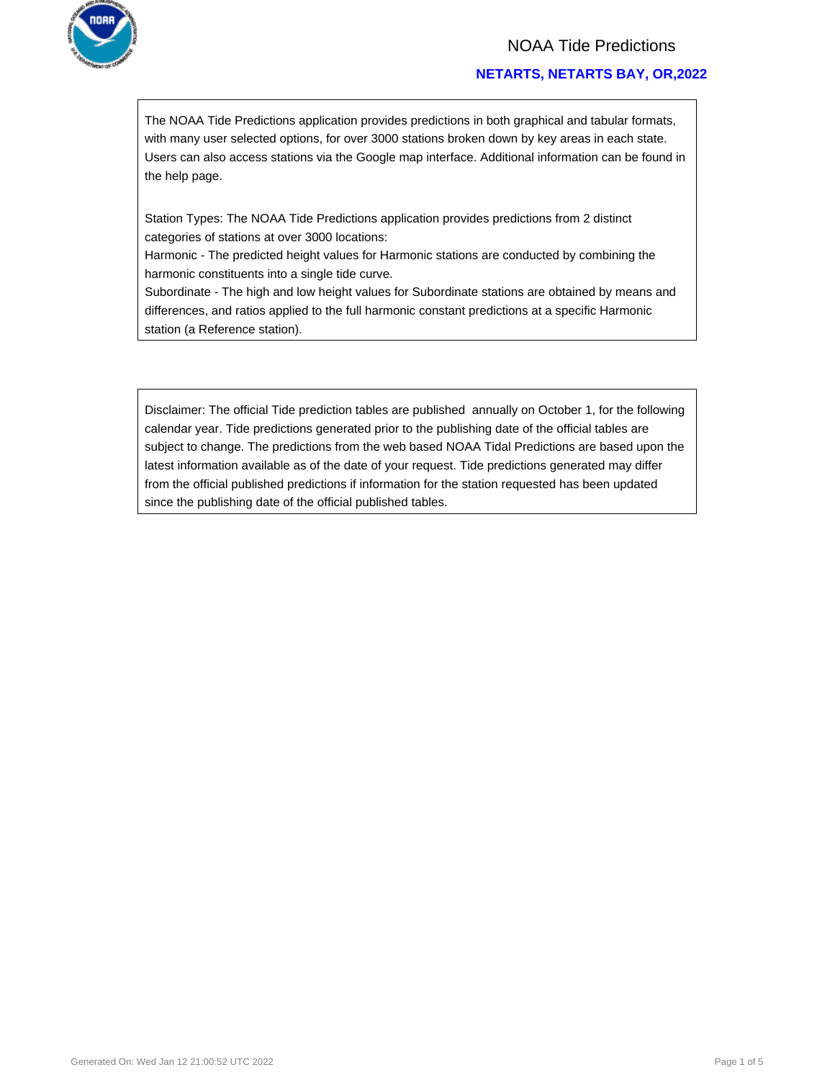

### NOAA Tide Predictions

### **NETARTS, NETARTS BAY, OR,2022**

The NOAA Tide Predictions application provides predictions in both graphical and tabular formats, with many user selected options, for over 3000 stations broken down by key areas in each state. Users can also access stations via the Google map interface. Additional information can be found in the help page.

Station Types: The NOAA Tide Predictions application provides predictions from 2 distinct categories of stations at over 3000 locations:

Harmonic - The predicted height values for Harmonic stations are conducted by combining the harmonic constituents into a single tide curve.

Subordinate - The high and low height values for Subordinate stations are obtained by means and differences, and ratios applied to the full harmonic constant predictions at a specific Harmonic station (a Reference station).

Disclaimer: The official Tide prediction tables are published annually on October 1, for the following calendar year. Tide predictions generated prior to the publishing date of the official tables are subject to change. The predictions from the web based NOAA Tidal Predictions are based upon the latest information available as of the date of your request. Tide predictions generated may differ from the official published predictions if information for the station requested has been updated since the publishing date of the official published tables.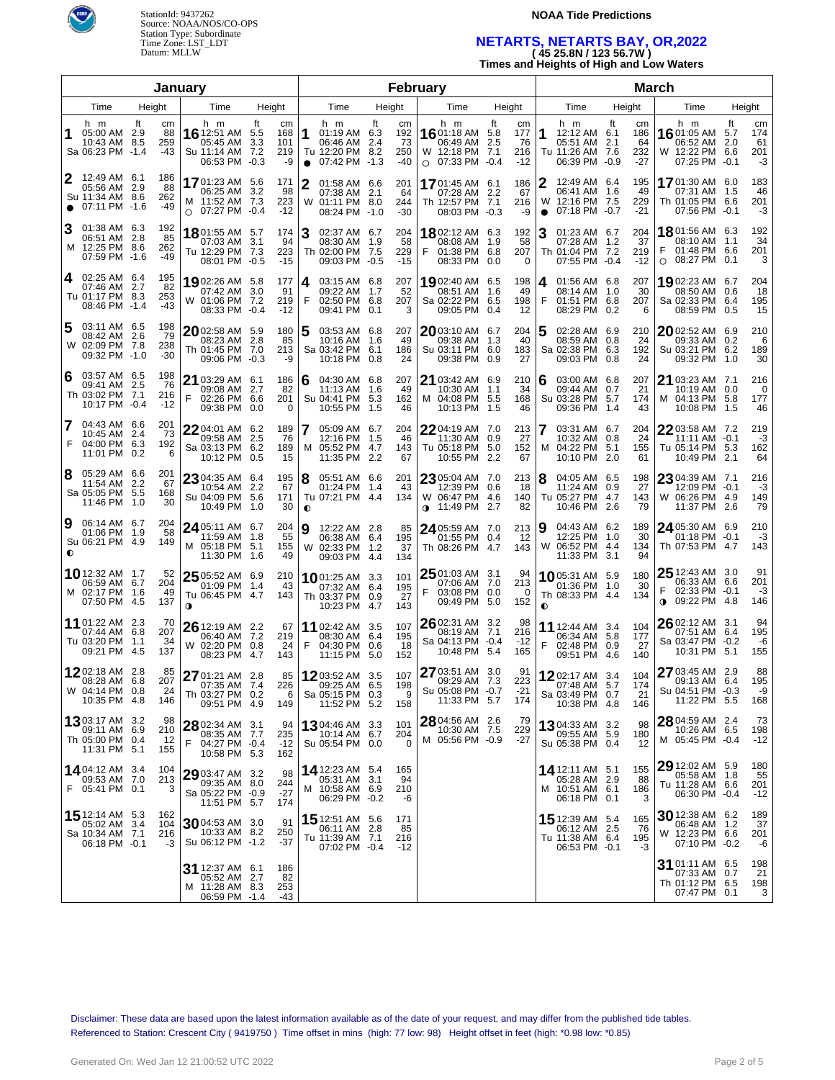

## **NOAA Tide Predictions**

# **NETARTS, NETARTS BAY, OR,2022 ( 45 25.8N / 123 56.7W )**

**Times and Heights of High and Low Waters**

|                                                                                    |                               | January                                                                                      |                                                                    |                                                                                       |                                              | <b>February</b>                                                      |                                                        | <b>March</b>                                                                    |                                                        |                                                                               |                                                  |  |  |  |
|------------------------------------------------------------------------------------|-------------------------------|----------------------------------------------------------------------------------------------|--------------------------------------------------------------------|---------------------------------------------------------------------------------------|----------------------------------------------|----------------------------------------------------------------------|--------------------------------------------------------|---------------------------------------------------------------------------------|--------------------------------------------------------|-------------------------------------------------------------------------------|--------------------------------------------------|--|--|--|
| Time                                                                               | Height                        | Time                                                                                         | Height                                                             | Time                                                                                  | Height                                       | Time                                                                 | Height                                                 | Time                                                                            | Height                                                 | Time                                                                          | Height                                           |  |  |  |
| h m<br>1<br>05:00 AM 2.9<br>10:43 AM 8.5<br>Sa 06:23 PM -1.4                       | ft<br>cm<br>88<br>259<br>-43  | h m<br><b>16</b> 12:51 AM<br>05:45 AM<br>Su 11:14 AM<br>06:53 PM                             | ft<br>cm<br>168<br>5.5<br>3.3<br>101<br>219<br>7.2<br>$-0.3$<br>-9 | h m<br>1<br>01:19 AM 6.3<br>06:46 AM<br>Tu 12:20 PM 8.2<br>07:42 PM -1.3<br>$\bullet$ | ft<br>cm<br>192<br>73<br>2.4<br>250<br>$-40$ | h m<br>1601:18 AM 5.8<br>06:49 AM<br>W 12:18 PM 7.1<br>$O$ 07:33 PM  | ft<br>cm<br>177<br>2.5<br>76<br>216<br>$-0.4$<br>$-12$ | h m<br>1<br>12:12 AM 6.1<br>05:51 AM<br>Tu 11:26 AM 7.6<br>06:39 PM             | ft<br>cm<br>186<br>2.1<br>64<br>232<br>$-27$<br>$-0.9$ | h m<br>1601:05 AM<br>06:52 AM<br>W 12:22 PM 6.6<br>07:25 PM -0.1              | ft<br>cm<br>174<br>5.7<br>2.0<br>61<br>201<br>-3 |  |  |  |
| 2<br>12:49 AM 6.1<br>05:56 AM 2.9<br>Su 11:34 AM 8.6<br>07:11 PM -1.6<br>$\bullet$ | 186<br>88<br>262<br>-49       | 1701:23 AM 5.6<br>06:25 AM<br>M 11:52 AM 7.3<br>$\circ$ 07:27 PM -0.4                        | 171<br>3.2<br>98<br>223<br>$-12$                                   | 01:58 AM 6.6<br>07:38 AM 2.1<br>W<br>01:11 PM 8.0<br>08:24 PM -1.0                    | 201<br>64<br>244<br>$-30$                    | 1701:45 AM 6.1<br>07:28 AM 2.2<br>Th 12:57 PM 7.1<br>08:03 PM -0.3   | 186<br>67<br>216<br>-9                                 | 12:49 AM 6.4<br>06:41 AM 1.6<br>W<br>12:16 PM 7.5<br>07:18 PM -0.7<br>$\bullet$ | 195<br>49<br>229<br>$-21$                              | 1701:30 AM 6.0<br>07:31 AM 1.5<br>Th 01:05 PM 6.6<br>07:56 PM -0.1            | 183<br>46<br>201<br>-3                           |  |  |  |
| 01:38 AM 6.3<br>06:51 AM 2.8<br>M 12:25 PM 8.6<br>07:59 PM -1.6                    | 192<br>85<br>262<br>-49       | 1801:55 AM 5.7<br>07:03 AM<br>Tu 12:29 PM<br>08:01 PM                                        | 174<br>3.1<br>94<br>223<br>7.3<br>$-0.5$<br>$-15$                  | 3<br>02:37 AM 6.7<br>08:30 AM 1.9<br>Th 02:00 PM 7.5<br>09:03 PM -0.5                 | 204<br>58<br>229<br>$-15$                    | 1802:12 AM 6.3<br>08:08 AM 1.9<br>F<br>01:38 PM 6.8<br>08:33 PM      | 192<br>58<br>207<br>0<br>0.0                           | 01:23 AM 6.7<br>07:28 AM 1.2<br>Th 01:04 PM 7.2<br>07:55 PM -0.4                | 204<br>37<br>219<br>$-12$                              | 18 01:56 AM 6.3<br>08:10 AM 1.1<br>F<br>01:48 PM 6.6<br>$\circ$<br>08:27 PM   | 192<br>34<br>201<br>3<br>0.1                     |  |  |  |
| 02:25 AM 6.4<br>4<br>07:46 AM 2.7<br>Tu 01:17 PM 8.3<br>08:46 PM -1.4              | 195<br>82<br>253<br>-43       | 19 02:26 AM 5.8<br>07:42 AM<br>W 01:06 PM<br>08:33 PM                                        | 177<br>3.0<br>-91<br>7.2<br>219<br>$-0.4$<br>$-12$                 | 03:15 AM 6.8<br>4<br>09:22 AM 1.7<br>F<br>02:50 PM 6.8<br>09:41 PM                    | 207<br>52<br>207<br>0.1<br>3                 | 1902:40 AM 6.5<br>08:51 AM 1.6<br>Sa 02:22 PM 6.5<br>09:05 PM        | 198<br>49<br>198<br>12<br>0.4                          | 01:56 AM 6.8<br>4<br>08:14 AM 1.0<br>F<br>01:51 PM 6.8<br>08:29 PM 0.2          | 207<br>30<br>207<br>6                                  | 1902:23 AM 6.7<br>08:50 AM 0.6<br>Sa 02:33 PM 6.4<br>08:59 PM                 | 204<br>18<br>195<br>15<br>0.5                    |  |  |  |
| 03:11 AM 6.5<br>08:42 AM 2.6<br>W 02:09 PM 7.8<br>09:32 PM -1.0                    | 198<br>79<br>238<br>-30       | 2002:58 AM 5.9<br>08:23 AM 2.8<br>Th 01:45 PM 7.0<br>09:06 PM -0.3                           | 180<br>85<br>213<br>-9                                             | 5<br>03:53 AM 6.8<br>10:16 AM 1.6<br>Sa 03:42 PM 6.1<br>10:18 PM 0.8                  | 207<br>49<br>186<br>24                       | 2003:10 AM 6.7<br>09:38 AM 1.3<br>Su 03:11 PM 6.0<br>09:38 PM        | 204<br>40<br>183<br>27<br>0.9                          | 02:28 AM 6.9<br>08:59 AM 0.8<br>Sa 02:38 PM 6.3<br>09:03 PM                     | 210<br>24<br>192<br>24<br>0.8                          | 2002:52 AM 6.9<br>09:33 AM 0.2<br>Su 03:21 PM 6.2<br>09:32 PM 1.0             | 210<br>6<br>189<br>30                            |  |  |  |
| 03:57 AM 6.5<br>6<br>09:41 AM 2.5<br>Th 03:02 PM 7.1<br>10:17 PM -0.4              | 198<br>76<br>216<br>$-12$     | 21 03:29 AM 6.1<br>09:08 AM<br>F<br>02:26 PM<br>09:38 PM                                     | 186<br>2.7<br>82<br>201<br>6.6<br>0.0<br>0                         | 04:30 AM 6.8<br>6<br>11:13 AM 1.6<br>Su 04:41 PM 5.3<br>10:55 PM 1.5                  | 207<br>49<br>162<br>46                       | $2103:42$ AM 6.9<br>10:30 AM 1.1<br>M 04:08 PM 5.5<br>10:13 PM 1.5   | 210<br>34<br>168<br>46                                 | 03:00 AM 6.8<br>6<br>09:44 AM 0.7<br>Su 03:28 PM<br>09:36 PM 1.4                | 207<br>21<br>5.7<br>174<br>43                          | 21 03:23 AM 7.1<br>10:19 AM 0.0<br>M 04:13 PM 5.8<br>10:08 PM 1.5             | 216<br>0<br>177<br>46                            |  |  |  |
| 04:43 AM 6.6<br>7<br>10:45 AM 2.4<br>F<br>04:00 PM 6.3<br>11:01 PM 0.2             | 201<br>73<br>192<br>6         | 22 04:01 AM 6.2<br>09:58 AM<br>Sa 03:13 PM<br>10:12 PM                                       | 189<br>76<br>2.5<br>189<br>6.2<br>0.5<br>15                        | 7<br>05:09 AM 6.7<br>12:16 PM 1.5<br>м<br>05:52 PM 4.7<br>11:35 PM 2.2                | 204<br>46<br>143<br>67                       | 22 04:19 AM 7.0<br>11:30 AM 0.9<br>Tu 05:18 PM<br>10:55 PM           | 213<br>27<br>5.0<br>152<br>2.2<br>67                   | 03:31 AM 6.7<br>7<br>10:32 AM 0.8<br>м<br>04:22 PM<br>10:10 PM 2.0              | 204<br>24<br>5.1<br>155<br>61                          | 2203:58 AM 7.2<br>11:11 AM -0.1<br>Tu 05:14 PM 5.3<br>10:49 PM 2.1            | 219<br>-3<br>162<br>64                           |  |  |  |
| 8<br>05:29 AM 6.6<br>11:54 AM 2.2<br>Sa 05:05 PM 5.5<br>11:46 PM 1.0               | 201<br>67<br>168<br>30        | 23 04:35 AM 6.4<br>10:54 AM<br>Su 04:09 PM<br>10:49 PM                                       | 195<br>2.2<br>67<br>5.6<br>171<br>30<br>1.0                        | 8<br>05:51 AM 6.6<br>01:24 PM 1.4<br>Tu 07:21 PM 4.4<br>$\bullet$                     | 201<br>43<br>134                             | $23^{05:04}$ AM 7.0<br>12:39 PM 0.6<br>W 06:47 PM 4.6<br>∩a 11:49 PM | 213<br>18<br>140<br>2.7<br>82                          | 8<br>04:05 AM 6.5<br>11:24 AM 0.9<br>Tu 05:27 PM 4.7<br>10:46 PM                | 198<br>27<br>143<br>2.6<br>79                          | 23 04:39 AM 7.1<br>12:09 PM -0.1<br>W 06:26 PM 4.9<br>11:37 PM 2.6            | 216<br>-3<br>149<br>79                           |  |  |  |
| 9<br>06:14 AM 6.7<br>01:06 PM 1.9<br>Su 06:21 PM 4.9<br>$\bullet$                  | 204<br>58<br>149              | $2405:11$ AM 6.7<br>11:59 AM<br>M 05:18 PM<br>11:30 PM                                       | 204<br>55<br>1.8<br>5.1<br>155<br>49<br>1.6                        | Ι9<br>12:22 AM 2.8<br>06:38 AM 6.4<br>02:33 PM 1.2<br>W<br>09:03 PM 4.4               | 85<br>195<br>37<br>134                       | 24 05:59 AM 7.0<br>01:55 PM 0.4<br>Th 08:26 PM 4.7                   | 213<br>12<br>143                                       | 04:43 AM 6.2<br>9<br>12:25 PM 1.0<br>W 06:52 PM 4.4<br>11:33 PM 3.1             | 189<br>30<br>134<br>94                                 | 24 05:30 AM 6.9<br>$01:18$ PM $-0.1$<br>Th 07:53 PM 4.7                       | 210<br>-3<br>143                                 |  |  |  |
| <b>10</b> 12:32 AM 1.7<br>06:59 AM 6.7<br>M 02:17 PM 1.6<br>07:50 PM 4.5           | 52<br>204<br>49<br>137        | $25\frac{05:52 \text{ AM}}{0.25 \text{ AU}}$ 6.9<br>01:09 PM<br>Tu 06:45 PM 4.7<br>$\bullet$ | 210<br>1.4<br>43<br>143                                            | 1001:25 AM 3.3<br>07:32 AM 6.4<br>Th 03:37 PM 0.9<br>10:23 PM 4.7                     | 101<br>195<br>27<br>143                      | 25 01:03 AM 3.1<br>07:06 AM 7.0<br>F<br>03:08 PM 0.0<br>09:49 PM 5.0 | 94<br>213<br>0<br>152                                  | 1005:31 AM 5.9<br>01:36 PM 1.0<br>Th 08:33 PM 4.4<br>$\bullet$                  | 180<br>30<br>134                                       | 25 12:43 AM 3.0<br>06:33 AM 6.6<br>02:33 PM -0.1<br>09:22 PM 4.8<br>$\bullet$ | 91<br>201<br>-3<br>146                           |  |  |  |
| <b>11</b> 01:22 AM 2.3<br>07:44 AM 6.8<br>Tu 03:20 PM<br>09:21 PM 4.5              | 70<br>207<br>1.1<br>34<br>137 | $2612:19$ AM 2.2<br>06:40 AM<br>W 02:20 PM<br>08:23 PM                                       | 67<br>7.2<br>219<br>0.8<br>24<br>4.7<br>143                        | 11 02:42 AM 3.5<br>08:30 AM 6.4<br>F<br>04:30 PM 0.6<br>11:15 PM 5.0                  | 107<br>195<br>18<br>152                      | 26 02:31 AM 3.2<br>08:19 AM 7.1<br>Sa 04:13 PM -0.4<br>10:48 PM 5.4  | 98<br>216<br>$-12$<br>165                              | <b>11</b> 12:44 AM 3.4<br>06:34 AM 5.8<br>F<br>02:48 PM 0.9<br>09:51 PM 4.6     | 104<br>177<br>27<br>140                                | 26 02:12 AM 3.1<br>07:51 AM 6.4<br>Sa 03:47 PM -0.2<br>10:31 PM 5.1           | 94<br>195<br>-6<br>155                           |  |  |  |
| 1202:18 AM 2.8<br>08:28 AM 6.8<br>W 04:14 PM 0.8<br>10:35 PM 4.8                   | 85<br>207<br>24<br>146        | 27 01:21 AM 2.8<br>07:35 AM 7.4<br>Th 03:27 PM 0.2<br>09:51 PM                               | 85<br>226<br>6<br>-4.9<br>149                                      | 1203:52 AM 3.5<br>Sa 05:15 PM 0.3<br>11:52 PM 5.2                                     | 107<br>09:25 AM 6.5 198<br>9<br>158          | 27 03:51 AM 3.0<br>09:29 AM 7.3<br>Su 05:08 PM -0.7<br>11:33 PM 5.7  | 91<br>223<br>$-21$<br>174                              | 1202:17 AM 3.4<br>$07.48$ AM 57<br>Sa 03:49 PM 0.7<br>10:38 PM 4.8              | 104<br>174<br>21<br>146                                | 27 03:45 AM 2.9<br>09:13 AM 6.4<br>Su 04:51 PM -0.3<br>11:22 PM 5.5           | 88<br>195<br>-9<br>168                           |  |  |  |
| <b>13</b> 03:17 AM 3.2<br>09:11 AM 6.9<br>Th 05:00 PM 0.4<br>11:31 PM 5.1          | 98<br>210<br>-12<br>155       | $2802:34$ AM 3.1<br>08:35 AM  7.7<br>F<br>04:27 PM -0.4<br>10:58 PM 5.3                      | 94<br>235<br>$-12$<br>162                                          | <b>13</b> 04:46 AM 3.3<br>10:14 AM 6.7<br>Su 05:54 PM 0.0                             | 101<br>204<br>0                              | 28 04:56 AM 2.6<br>10:30 AM 7.5<br>M 05:56 PM -0.9                   | 79<br>229<br>$-27$                                     | 1304:33 AM 3.2<br>09:55 AM 5.9<br>Su 05:38 PM 0.4                               | 98<br>180<br>12                                        | 28 04:59 AM 2.4<br>10:26 AM 6.5<br>M 05:45 PM -0.4                            | 73<br>198<br>$-12$                               |  |  |  |
| <b>14</b> 04:12 AM 3.4<br>09:53 AM 7.0<br>F 05:41 PM 0.1                           | 104<br>213<br>3               | 29 03:47 AM 3.2<br>09:35 AM 8.0<br>Sa 05:22 PM -0.9<br>11:51 PM                              | 98<br>244<br>-27<br>5.7<br>174                                     | <b>14</b> 12:23 AM 5.4<br>05:31 AM 3.1<br>M 10:58 AM 6.9<br>06:29 PM -0.2             | 165<br>94<br>210<br>-6                       |                                                                      |                                                        | <b>14</b> 12:11 AM 5.1<br>05:28 AM 2.9<br>M 10:51 AM 6.1<br>06:18 PM 0.1        | 155<br>88<br>186<br>3                                  | 29 12:02 AM 5.9<br>05:58 AM 1.8<br>Tu 11:28 AM 6.6<br>06:30 PM -0.4           | 180<br>55<br>201<br>$-12$                        |  |  |  |
| <b>15</b> 12:14 AM 5.3<br>05:02 AM 3.4<br>Sa 10:34 AM 7.1<br>06:18 PM -0.1         | 162<br>104<br>216<br>-3       | $30$ 04:53 AM 3.0<br>10:33 AM 8.2<br>Su 06:12 PM -1.2                                        | 91<br>250<br>-37                                                   | 15 12:51 AM 5.6<br>06:11 AM 2.8<br>Tu 11:39 AM 7.1<br>07:02 PM -0.4                   | 171<br>85<br>216<br>$-12$                    |                                                                      |                                                        | <b>15</b> 12:39 AM 5.4<br>06:12 AM 2.5<br>Tu 11:38 AM 6.4<br>06:53 PM -0.1      | 165<br>76<br>195<br>-3                                 | 30 12:38 AM 6.2<br>06:48 AM 1.2<br>W 12:23 PM 6.6<br>07:10 PM -0.2            | 189<br>37<br>201<br>-6                           |  |  |  |
|                                                                                    |                               | 31 12:37 AM 6.1<br>05:52 AM 2.7<br>M 11:28 AM 8.3<br>06:59 PM -1.4                           | 186<br>82<br>253<br>-43                                            |                                                                                       |                                              |                                                                      |                                                        |                                                                                 |                                                        | 31 01:11 AM 6.5<br>07:33 AM 0.7<br>Th 01:12 PM 6.5<br>07:47 PM 0.1            | 198<br>21<br>198<br>3                            |  |  |  |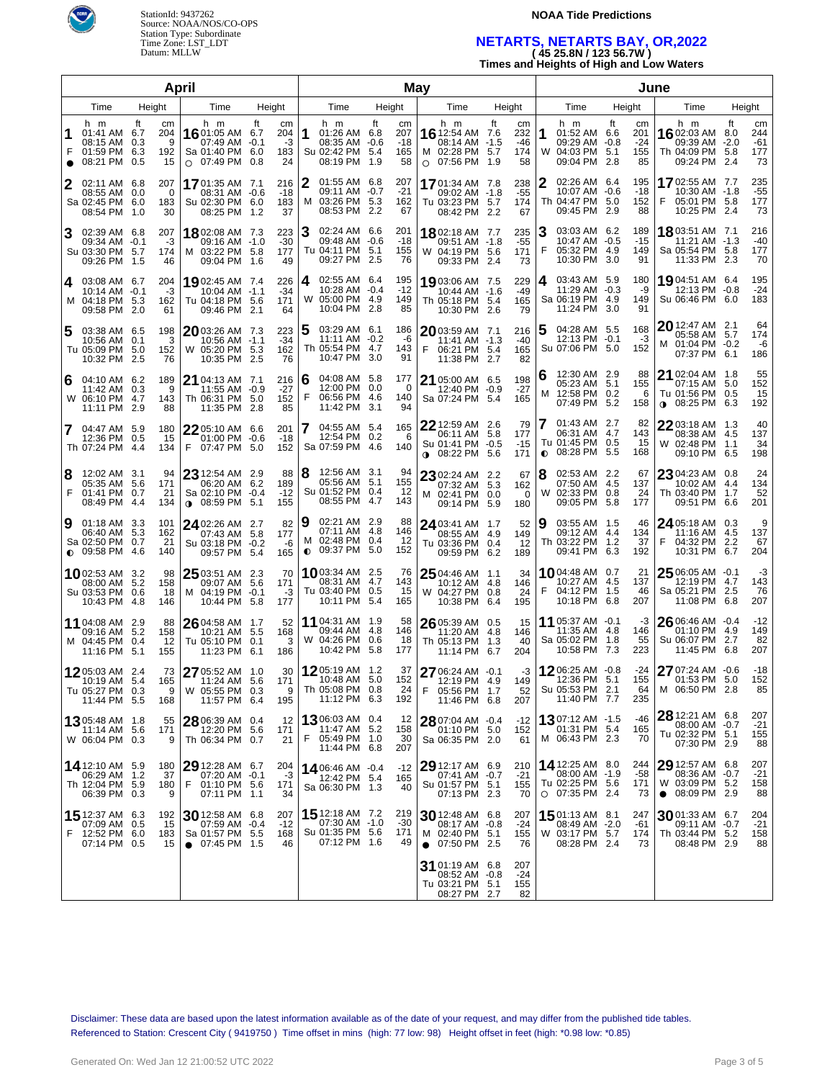

### **NOAA Tide Predictions**

# **NETARTS, NETARTS BAY, OR,2022 ( 45 25.8N / 123 56.7W )**

**Times and Heights of High and Low Waters**

| April          |                                                                                |    |                             |                                                                               |                                   |                              | May                 |                                                                            |        |                                 |      |                                                                                          |              |                               |           |                                                                             |     |                                 |                                                                               |                     |                                 |
|----------------|--------------------------------------------------------------------------------|----|-----------------------------|-------------------------------------------------------------------------------|-----------------------------------|------------------------------|---------------------|----------------------------------------------------------------------------|--------|---------------------------------|------|------------------------------------------------------------------------------------------|--------------|-------------------------------|-----------|-----------------------------------------------------------------------------|-----|---------------------------------|-------------------------------------------------------------------------------|---------------------|---------------------------------|
| Time<br>Height |                                                                                |    | Time                        | Height                                                                        |                                   |                              | Time                |                                                                            | Height |                                 | Time |                                                                                          | Height       |                               | Time      | Height                                                                      |     | Time                            |                                                                               | Height              |                                 |
| F<br>$\bullet$ | h m<br>01:41 AM 6.7<br>08:15 AM 0.3<br>01:59 PM 6.3<br>08:21 PM 0.5            | ft | cm<br>204<br>9<br>192<br>15 | h m<br>16 01:05 AM<br>07:49 AM<br>Sa 01:40 PM<br>$\circ$ 07:49 PM             | ft<br>6.7<br>$-0.1$<br>6.0<br>0.8 | cm<br>204<br>-3<br>183<br>24 | 1                   | h m<br>01:26 AM 6.8<br>08:35 AM -0.6<br>Su 02:42 PM 5.4<br>08:19 PM 1.9    | ft     | cm<br>207<br>$-18$<br>165<br>58 |      | h m<br><b>16</b> 12:54 AM 7.6<br>08:14 AM -1.5<br>M 02:28 PM 5.7<br>$\circ$ 07:56 PM 1.9 | ft           | сm<br>232<br>-46<br>174<br>58 | 1         | h m<br>01:52 AM 6.6<br>09:29 AM -0.8<br>W 04:03 PM 5.1<br>09:04 PM 2.8      | ft  | cm<br>201<br>$-24$<br>155<br>85 | h m<br>1602:03 AM<br>09:39 AM<br>Th 04:09 PM 5.8<br>09:24 PM 2.4              | ft<br>8.0<br>$-2.0$ | cm<br>244<br>$-61$<br>177<br>73 |
| 2              | 02:11 AM 6.8<br>08:55 AM 0.0<br>Sa 02:45 PM 6.0<br>08:54 PM 1.0                |    | 207<br>0<br>183<br>30       | 1701:35 AM 7.1<br>08:31 AM -0.6<br>Su 02:30 PM 6.0<br>08:25 PM                | 1.2                               | 216<br>-18<br>183<br>37      | 2                   | 01:55 AM 6.8<br>09:11 AM -0.7<br>M 03:26 PM 5.3<br>08:53 PM 2.2            |        | 207<br>$-21$<br>162<br>67       |      | 17 01:34 AM 7.8<br>09:02 AM -1.8<br>Tu 03:23 PM 5.7<br>08:42 PM 2.2                      |              | 238<br>$-55$<br>174<br>67     | 2         | 02:26 AM 6.4<br>10:07 AM -0.6<br>Th 04:47 PM 5.0<br>09:45 PM 2.9            |     | 195<br>$-18$<br>152<br>88       | 1702:55 AM 7.7<br>10:30 AM -1.8<br>05:01 PM 5.8<br>F<br>10:25 PM 2.4          |                     | 235<br>$-55$<br>177<br>73       |
| 3              | 02:39 AM 6.8<br>09:34 AM -0.1<br>Su 03:30 PM 5.7<br>09:26 PM 1.5               |    | 207<br>-3<br>174<br>46      | 1802:08 AM 7.3<br>09:16 AM -1.0<br>M 03:22 PM 5.8<br>09:04 PM                 | 1.6                               | 223<br>$-30$<br>177<br>49    | З                   | 02:24 AM 6.6<br>09:48 AM -0.6<br>Tu 04:11 PM 5.1<br>09:27 PM 2.5           |        | 201<br>$-18$<br>155<br>76       |      | 1802:18 AM 7.7<br>09:51 AM -1.8<br>W 04:19 PM 5.6<br>09:33 PM 2.4                        |              | 235<br>$-55$<br>171<br>73     | З<br>F    | 03:03 AM 6.2<br>10:47 AM -0.5<br>05:32 PM 4.9<br>10:30 PM 3.0               |     | 189<br>$-15$<br>149<br>91       | 1803:51 AM 7.1<br>11:21 AM -1.3<br>Sa 05:54 PM 5.8<br>11:33 PM 2.3            |                     | 216<br>-40<br>177<br>70         |
| 4              | 03:08 AM 6.7<br>10:14 AM -0.1<br>M 04:18 PM 5.3<br>09:58 PM 2.0                |    | 204<br>-3<br>162<br>61      | 1902:45 AM 7.4<br>10:04 AM -1.1<br>Tu 04:18 PM<br>09:46 PM                    | 5.6<br>2.1                        | 226<br>$-34$<br>171<br>64    | 4                   | 02:55 AM 6.4<br>10:28 AM -0.4<br>W 05:00 PM 4.9<br>10:04 PM 2.8            |        | 195<br>$-12$<br>149<br>85       |      | 1903:06 AM 7.5<br>10:44 AM -1.6<br>Th 05:18 PM 5.4<br>10:30 PM 2.6                       |              | 229<br>$-49$<br>165<br>79     | 4         | 03:43 AM 5.9<br>11:29 AM -0.3<br>Sa 06:19 PM 4.9<br>11:24 PM 3.0            |     | 180<br>-9<br>149<br>91          | 19 04:51 AM 6.4<br>12:13 PM -0.8<br>Su 06:46 PM 6.0                           |                     | 195<br>$-24$<br>183             |
| 5              | 03:38 AM 6.5<br>10:56 AM 0.1<br>Tu 05:09 PM 5.0<br>10:32 PM 2.5                |    | 198<br>3<br>152<br>76       | 2003:26 AM 7.3<br>10:56 AM -1.1<br>W 05:20 PM<br>10:35 PM                     | 5.3<br>2.5                        | 223<br>$-34$<br>162<br>76    | 5                   | 03:29 AM 6.1<br>11:11 AM -0.2<br>Th 05:54 PM 4.7<br>10:47 PM 3.0           |        | 186<br>-6<br>143<br>91          | F    | 2003:59 AM 7.1<br>11:41 AM -1.3<br>06:21 PM 5.4<br>11:38 PM 2.7                          |              | 216<br>-40<br>165<br>82       | 5         | 04:28 AM 5.5<br>12:13 PM -0.1<br>Su 07:06 PM 5.0                            |     | 168<br>-3<br>152                | 20 12:47 AM 2.1<br>05:58 AM 5.7<br>M 01:04 PM -0.2<br>07:37 PM 6.1            |                     | 64<br>174<br>-6<br>186          |
| 6              | 04:10 AM 6.2<br>11:42 AM 0.3<br>W 06:10 PM 4.7<br>11:11 PM 2.9                 |    | 189<br>9<br>143<br>88       | $21$ 04:13 AM 7.1<br>11:55 AM<br>Th 06:31 PM<br>11:35 PM                      | -0.9<br>5.0<br>-2.8               | 216<br>$-27$<br>152<br>85    | 6<br>F              | 04:08 AM 5.8<br>12:00 PM 0.0<br>06:56 PM 4.6<br>11:42 PM 3.1               |        | 177<br>0<br>140<br>94           |      | 21 05:00 AM 6.5<br>12:40 PM -0.9<br>Sa 07:24 PM 5.4                                      |              | 198<br>$-27$<br>165           | 6<br>м    | 12:30 AM 2.9<br>05:23 AM 5.1<br>12:58 PM 0.2<br>07:49 PM                    | 5.2 | 88<br>155<br>6<br>158           | 21 02:04 AM 1.8<br>07:15 AM<br>Tu 01:56 PM<br>08:25 PM<br>$\bullet$           | 5.0<br>0.5<br>6.3   | 55<br>152<br>15<br>192          |
|                | 04:47 AM 5.9<br>12:36 PM 0.5<br>Th 07:24 PM 4.4                                |    | 180<br>15<br>134            | 22 05:10 AM 6.6<br>01:00 PM -0.6<br>F 07:47 PM 5.0                            |                                   | 201<br>$-18$<br>152          | 7                   | 04:55 AM 5.4<br>12:54 PM 0.2<br>Sa 07:59 PM 4.6                            |        | 165<br>6<br>140                 |      | 22 12:59 AM<br>06:11 AM 5.8<br>Su 01:41 PM -0.5<br>$0.08:22 \text{ PM}$                  | 2.6<br>5.6   | 79<br>177<br>$-15$<br>171     | $\bullet$ | 01:43 AM 2.7<br>06:31 AM 4.7<br>Tu 01:45 PM 0.5<br>08:28 PM                 | 5.5 | 82<br>143<br>15<br>168          | 2203:18 AM 1.3<br>08:38 AM 4.5<br>W 02:48 PM 1.1<br>09:10 PM                  | 6.5                 | 40<br>137<br>34<br>198          |
| 8<br>F         | 12:02 AM 3.1<br>05:35 AM 5.6<br>01:41 PM 0.7<br>08:49 PM 4.4                   |    | 94<br>171<br>21<br>134      | 23 12:54 AM 2.9<br>06:20 AM 6.2<br>Sa 02:10 PM<br>$08:59$ PM                  | $-0.4$<br>5.1                     | 88<br>189<br>$-12$<br>155    | 8                   | 12:56 AM 3.1<br>05:56 AM 5.1<br>Su 01:52 PM 0.4<br>08:55 PM                | 4.7    | 94<br>155<br>12<br>143          |      | 23 02:24 AM 2.2<br>07:32 AM 5.3<br>M 02:41 PM 0.0<br>09:14 PM 5.9                        |              | 67<br>162<br>0<br>180         | 8<br>W    | 02:53 AM 2.2<br>07:50 AM 4.5<br>02:33 PM 0.8<br>09:05 PM                    | 5.8 | 67<br>137<br>24<br>177          | 23 04:23 AM 0.8<br>10:02 AM 4.4<br>Th 03:40 PM<br>09:51 PM                    | 1.7<br>6.6          | 24<br>134<br>52<br>201          |
| 9              | $01:18$ AM $3.3$<br>06:40 AM 5.3<br>Sa 02:50 PM 0.7<br>$\bigcirc$ 09:58 PM 4.6 |    | 101<br>162<br>21<br>140     | 24 02:26 AM 2.7<br>07:43 AM<br>Su 03:18 PM<br>09:57 PM 5.4                    | 5.8<br>$-0.2$                     | 82<br>177<br>-6<br>165       | 9<br>м<br>$\bullet$ | 02:21 AM 2.9<br>07:11 AM 4.8<br>02:48 PM 0.4<br>09:37 PM 5.0               |        | 88<br>146<br>12<br>152          |      | 24 03:41 AM 1.7<br>08:55 AM 4.9<br>Tu 03:36 PM 0.4<br>09:59 PM 6.2                       |              | 52<br>149<br>12<br>189        | 9         | 03:55 AM 1.5<br>09:12 AM 4.4<br>Th 03:22 PM 1.2<br>09:41 PM                 | 6.3 | 46<br>134<br>37<br>192          | 24 05:18 AM 0.3<br>11:16 AM 4.5<br>04:32 PM<br>10:31 PM                       | 2.2<br>6.7          | 9<br>137<br>67<br>204           |
|                | 1002:53 AM 3.2<br>08:00 AM 5.2<br>Su 03:53 PM 0.6<br>10:43 PM 4.8              |    | 98<br>158<br>18<br>146      | $25$ 03:51 AM 2.3<br>09:07 AM<br>M 04:19 PM<br>10:44 PM 5.8                   | 5.6<br>$-0.1$                     | 70<br>171<br>-3<br>177       |                     | <b>10</b> 03:34 AM 2.5<br>08:31 AM 4.7<br>Tu 03:40 PM 0.5<br>10:11 PM      | 5.4    | 76<br>143<br>15<br>165          |      | 25 04:46 AM 1.1<br>10:12 AM 4.8<br>W 04:27 PM 0.8<br>10:38 PM 6.4                        |              | 34<br>146<br>24<br>195        | F         | 1004:48 AM 0.7<br>10:27 AM 4.5<br>04:12 PM 1.5<br>10:18 PM                  | 6.8 | 21<br>137<br>46<br>207          | $25$ 06:05 AM $\,$ -0.1 $\,$<br>12:19 PM 4.7<br>Sa 05:21 PM 2.5<br>11:08 PM   | 6.8                 | -3<br>143<br>76<br>207          |
|                | 11 04:08 AM 2.9<br>09:16 AM 5.2<br>M 04:45 PM 0.4<br>11:16 PM 5.1              |    | 88<br>158<br>12<br>155      | $26$ 04:58 AM $\,$ 1.7 $\,$<br>10:21 AM<br>Tu 05:10 PM<br>11:23 PM 6.1        | 5.5<br>0.1                        | 52<br>168<br>3<br>186        |                     | 11 04:31 AM 1.9<br>09:44 AM 4.8<br>W 04:26 PM 0.6<br>10:42 PM              | 5.8    | 58<br>146<br>18<br>177          |      | 26 05:39 AM<br>11:20 AM 4.8<br>Th 05:13 PM<br>11:14 PM 6.7                               | 0.5<br>- 1.3 | 15<br>146<br>40<br>204        |           | 11 05:37 AM -0.1<br>11:35 AM 4.8<br>Sa 05:02 PM 1.8<br>10:58 PM 7.3         |     | -3<br>146<br>55<br>223          | $26$ 06:46 AM $\,$ -0.4 $\,$<br>01:10 PM 4.9<br>Su 06:07 PM<br>11:45 PM       | 2.7<br>6.8          | $-12$<br>149<br>82<br>207       |
|                | 1205:03 AM 2.4<br>10:19 AM 5.4<br>$1u$ 05:27 PM 0.3<br>11:44 PM 5.5            |    | 73<br>165<br>9<br>168       | 27 05:52 AM 1.0<br>11:24 AM<br>W 05:55 PM 0.3<br>11:57 PM 6.4                 | 5.6                               | 30<br>171<br>9<br>195        |                     | 1205:19 AM 1.2<br>10:48 AM 5.0<br>Th 05:08 PM 0.8<br>11:12 PM 6.3          |        | 37<br>152<br>24<br>192          | ۲    | 27 06:24 AM -0.1<br>12:19 PM 4.9<br>05:56 PM 1.7<br>11:46 PM 6.8                         |              | -3<br>149<br>52<br>207        |           | 1206:25 AM -0.8<br>12:36 PM 5.1<br>Su 05:53 PM 2.1<br>11:40 PM 7.7          |     | -24<br>155<br>64<br>235         | 27 07:24 AM -0.6<br>01:53 PM 5.0<br>M 06:50 PM 2.8                            |                     | -18<br>152<br>85                |
|                | 1305:48 AM 1.8<br>11:14 AM 5.6<br>W 06:04 PM 0.3                               |    | 55<br>171<br>9              | 28 06:39 AM 0.4<br>12:20 PM 5.6<br>Th 06:34 PM 0.7                            |                                   | 12<br>171<br>21              | F.                  | <b>13</b> 06:03 AM 0.4<br>11:47 AM 5.2<br>05:49 PM 1.0<br>11:44 PM 6.8     |        | 12<br>158<br>30<br>207          |      | 28 07:04 AM -0.4<br>01:10 PM 5.0<br>Sa 06:35 PM 2.0                                      |              | $-12$<br>152<br>61            |           | 1307:12 AM -1.5<br>01:31 PM 5.4<br>M 06:43 PM 2.3                           |     | -46<br>165<br>70                | 28 12:21 AM 6.8<br>08:00 AM -0.7<br>Tu 02:32 PM 5.1<br>07:30 PM 2.9           |                     | 207<br>$-21$<br>155<br>88       |
|                | 14 12:10 AM 5.9<br>06:29 AM 1.2<br>Th 12:04 PM 5.9<br>06:39 PM 0.3             |    | 180<br>37<br>180<br>9       | 29 12:28 AM 6.7<br>07:20 AM -0.1<br>F 01:10 PM 5.6<br>07:11 PM 1.1            |                                   | 204<br>-3<br>171<br>34       |                     | 14 06:46 AM -0.4<br>12:42 PM 5.4<br>Sa 06:30 PM 1.3                        |        | $-12$<br>165<br>40              |      | $2912:17$ AM 6.9<br>07:41 AM -0.7<br>Su 01:57 PM 5.1<br>07:13 PM 2.3                     |              | 210<br>$-21$<br>155<br>70     |           | 14 12:25 AM 8.0<br>08:00 AM -1.9<br>Tu 02:25 PM 5.6<br>$\circ$ 07:35 PM 2.4 |     | 244<br>-58<br>171<br>73         | $2912:57$ AM 6.8<br>08:36 AM -0.7<br>W 03:09 PM 5.2<br>$\bullet$ 08:09 PM 2.9 |                     | 207<br>$-21$<br>158<br>88       |
| F              | 15 12:37 AM 6.3<br>07:09 AM 0.5<br>12:52 PM 6.0<br>07:14 PM 0.5                |    | 192<br>15<br>183<br>15      | 30 12:58 AM 6.8<br>07:59 AM -0.4<br>Sa 01:57 PM 5.5<br>$\bullet$ 07:45 PM 1.5 |                                   | 207<br>$-12$<br>168<br>46    |                     | <b>15</b> 12:18 AM 7.2<br>07:30 AM -1.0<br>Su 01:35 PM 5.6<br>07:12 PM 1.6 |        | 219<br>-30<br>171<br>49         |      | 30 12:48 AM 6.8<br>08:17 AM -0.8<br>M 02:40 PM 5.1<br>$\bullet$ 07:50 PM 2.5             |              | 207<br>-24<br>155<br>76       |           | 1501:13 AM 8.1<br>08:49 AM -2.0<br>W 03:17 PM 5.7<br>08:28 PM 2.4           |     | 247<br>-61<br>174<br>73         | 3001:33 AM 6.7<br>09:11 AM -0.7<br>Th 03:44 PM 5.2<br>08:48 PM 2.9            |                     | 204<br>$-21$<br>158<br>88       |
|                |                                                                                |    |                             |                                                                               |                                   |                              |                     |                                                                            |        |                                 |      | 31 01:19 AM 6.8<br>08:52 AM -0.8<br>Tu 03:21 PM 5.1<br>08:27 PM 2.7                      |              | 207<br>$-24$<br>155<br>82     |           |                                                                             |     |                                 |                                                                               |                     |                                 |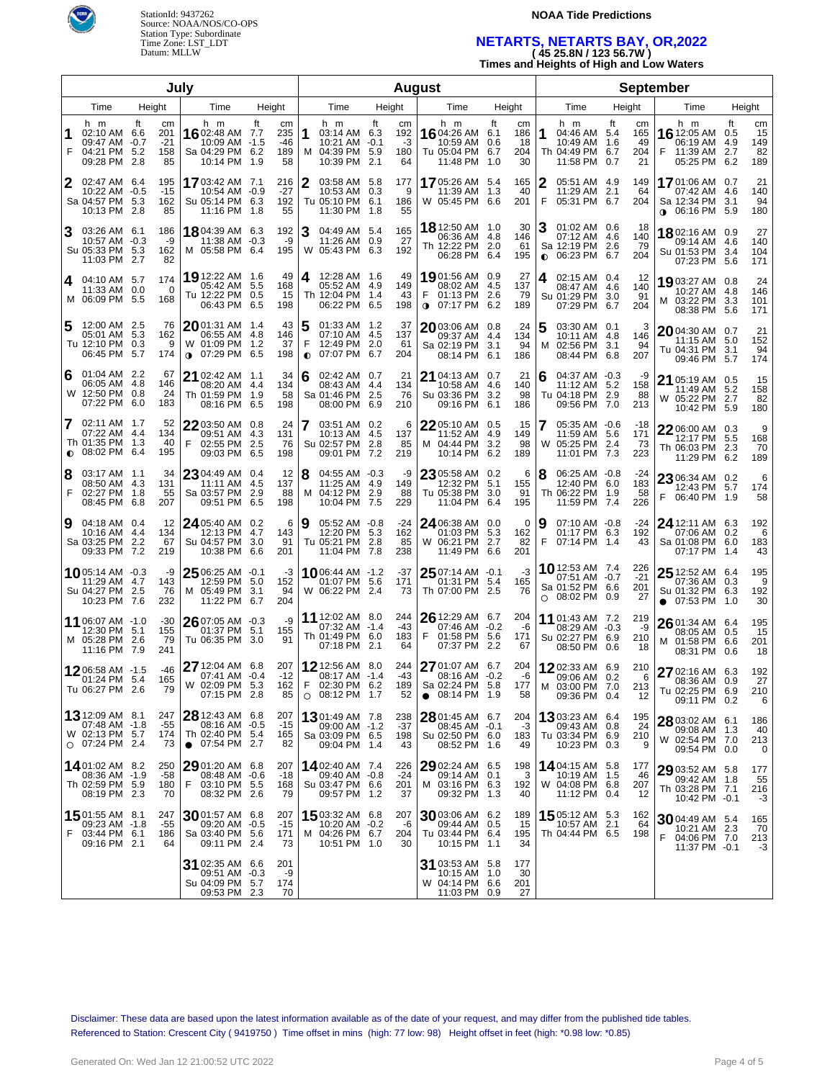

#### **NOAA Tide Predictions**

# **NETARTS, NETARTS BAY, OR,2022 ( 45 25.8N / 123 56.7W )**

**Times and Heights of High and Low Waters**

| July                   |                                                                               |    |                                 |                                                                               |                    |                               |                | <b>August</b>                                                              |      |                              |                                                                                  |     |                              |                |                                                                            |             |                              |                                                                                  |    |                              |
|------------------------|-------------------------------------------------------------------------------|----|---------------------------------|-------------------------------------------------------------------------------|--------------------|-------------------------------|----------------|----------------------------------------------------------------------------|------|------------------------------|----------------------------------------------------------------------------------|-----|------------------------------|----------------|----------------------------------------------------------------------------|-------------|------------------------------|----------------------------------------------------------------------------------|----|------------------------------|
| Time<br>Height<br>Time |                                                                               |    | Height                          |                                                                               |                    | Time                          |                | Height                                                                     | Time | Height                       |                                                                                  |     | Time                         | Height         |                                                                            | Time        |                              | Height                                                                           |    |                              |
| F                      | h m<br>02:10 AM 6.6<br>09:47 AM -0.7<br>04:21 PM 5.2<br>09:28 PM 2.8          | ft | cm<br>201<br>$-21$<br>158<br>85 | h m<br>16 02:48 AM 7.7<br>10:09 AM -1.5<br>Sa 04:29 PM 6.2<br>10:14 PM 1.9    | ft                 | cm<br>235<br>-46<br>189<br>58 |                | h m<br>03:14 AM 6.3<br>$10:21$ AM $-0.1$<br>M 04:39 PM 5.9<br>10:39 PM 2.1 | ft   | cm<br>192<br>-3<br>180<br>64 | h m<br>1604:26 AM 6.1<br>10:59 AM 0.6<br>Tu 05:04 PM 6.7<br>11:48 PM 1.0         | ft  | cm<br>186<br>18<br>204<br>30 | 1              | h m<br>04:46 AM 5.4<br>10:49 AM<br>Th 04:49 PM 6.7<br>11:58 PM 0.7         | ft<br>- 1.6 | cm<br>165<br>49<br>204<br>21 | h m<br>16 12:05 AM 0.5<br>06:19 AM 4.9<br>F<br>11:39 AM 2.7<br>05:25 PM 6.2      | ft | cm<br>15<br>149<br>82<br>189 |
| 2                      | 02:47 AM 6.4<br>10:22 AM -0.5<br>Sa 04:57 PM 5.3<br>10:13 PM 2.8              |    | 195<br>$-15$<br>162<br>85       | 1703:42 AM 7.1<br>10:54 AM -0.9<br>Su 05:14 PM 6.3<br>11:16 PM 1.8            |                    | 216<br>$-27$<br>192<br>55     | 2              | 03:58 AM 5.8<br>10:53 AM 0.3<br>Tu 05:10 PM 6.1<br>11:30 PM 1.8            |      | 177<br>9<br>186<br>55        | 1705:26 AM 5.4<br>11:39 AM<br>W 05:45 PM 6.6                                     | 1.3 | 165<br>40<br>201             | 2<br>F         | 05:51 AM 4.9<br>11:29 AM<br>05:31 PM 6.7                                   | 2.1         | 149<br>64<br>204             | 1701:06 AM 0.7<br>07:42 AM 4.6<br>Sa 12:34 PM 3.1<br>$\bullet$ 06:16 PM 5.9      |    | 21<br>140<br>94<br>180       |
| з                      | 03:26 AM 6.1<br>10:57 AM -0.3<br>Su 05:33 PM 5.3<br>11:03 PM 2.7              |    | 186<br>-9<br>162<br>82          | 18 04:39 AM 6.3<br>11:38 AM -0.3<br>M 05:58 PM 6.4                            |                    | 192<br>-9<br>195              | 3              | 04:49 AM 5.4<br>11:26 AM 0.9<br>W 05:43 PM 6.3                             |      | 165<br>27<br>192             | 18 12:50 AM 1.0<br>06:36 AM 4.8<br>Th 12:22 PM 2.0<br>06:28 PM 6.4               |     | 30<br>146<br>61<br>195       | 3<br>$\bullet$ | 01:02 AM 0.6<br>07:12 AM 4.6<br>Sa 12:19 PM 2.6<br>06:23 PM 6.7            |             | 18<br>140<br>79<br>204       | 1802:16 AM 0.9<br>09:14 AM 4.6<br>Su 01:53 PM 3.4<br>07:23 PM 5.6                |    | 27<br>140<br>104<br>171      |
| 4                      | 04:10 AM 5.7<br>11:33 AM 0.0<br>M 06:09 PM 5.5                                |    | 174<br>0<br>168                 | 19 12:22 AM 1.6<br>05:42 AM<br>Tu 12:22 PM 0.5<br>06:43 PM                    | 5.5<br>6.5         | 49<br>168<br>15<br>198        | 4              | 12:28 AM 1.6<br>05:52 AM 4.9<br>Th 12:04 PM 1.4<br>06:22 PM 6.5            |      | 49<br>149<br>43<br>198       | 1901:56 AM 0.9<br>08:02 AM 4.5<br>F<br>01:13 PM 2.6<br>$\bullet$ 07:17 PM 6.2    |     | 27<br>137<br>79<br>189       | 4              | 02:15 AM 0.4<br>08:47 AM 4.6<br>Su 01:29 PM 3.0<br>07:29 PM                | 6.7         | 12<br>140<br>91<br>204       | 1903:27 AM 0.8<br>10:27 AM 4.8<br>M 03:22 PM 3.3<br>08:38 PM 5.6                 |    | 24<br>146<br>101<br>171      |
| 5                      | 12:00 AM 2.5<br>05:01 AM 5.3<br>Tu 12:10 PM 0.3<br>06:45 PM 5.7               |    | 76<br>162<br>9<br>174           | $20$ 01:31 AM $\,$ 1.4 $\,$<br>06:55 AM<br>W 01:09 PM<br>$0$ 07:29 PM         | 4.8<br>1.2<br>6.5  | 43<br>146<br>37<br>198        | F<br>$\bullet$ | 01:33 AM 1.2<br>07:10 AM 4.5<br>12:49 PM 2.0<br>07:07 PM 6.7               |      | 37<br>137<br>61<br>204       | 2003:06 AM 0.8<br>09:37 AM 4.4<br>Sa 02:19 PM 3.1<br>08:14 PM 6.1                |     | 24<br>134<br>94<br>186       | 5<br>M         | 03:30 AM 0.1<br>10:11 AM 4.8<br>02:56 PM 3.1<br>08:44 PM                   | 6.8         | 146<br>94<br>207             | 2004:30 AM 0.7<br>11:15 AM 5.0<br>Tu 04:31 PM 3.1<br>09:46 PM 5.7                |    | 21<br>152<br>94<br>174       |
| 6                      | 01:04 AM 2.2<br>06:05 AM 4.8<br>W 12:50 PM 0.8<br>07:22 PM 6.0                |    | 67<br>146<br>24<br>183          | 21 02:42 AM 1.1<br>08:20 AM 4.4<br>Th 01:59 PM<br>08:16 PM                    | 1.9<br>6.5         | 34<br>134<br>58<br>198        | 6              | 02:42 AM 0.7<br>08:43 AM 4.4<br>Sa 01:46 PM 2.5<br>08:00 PM 6.9            |      | 21<br>134<br>76<br>210       | 21 04:13 AM 0.7<br>10:58 AM 4.6<br>Su 03:36 PM 3.2<br>09:16 PM 6.1               |     | 21<br>140<br>98<br>186       | 6              | 04:37 AM -0.3<br>11:12 AM 5.2<br>Tu 04:18 PM 2.9<br>09:56 PM               | 7.0         | -9<br>158<br>88<br>213       | 21 05:19 AM 0.5<br>11:49 AM 5.2<br>W 05:22 PM 2.7<br>10:42 PM 5.9                |    | 15<br>158<br>82<br>180       |
| $\bullet$              | 02:11 AM 1.7<br>07:22 AM 4.4<br>Th 01:35 PM 1.3<br>08:02 PM 6.4               |    | 52<br>134<br>40<br>195          | $22$ 03:50 AM 0.8<br>09:51 AM 4.3<br>02:55 PM<br>F<br>09:03 PM                | 2.5<br>6.5         | 24<br>131<br>76<br>198        |                | 03:51 AM 0.2<br>10:13 AM 4.5<br>Su 02:57 PM 2.8<br>09:01 PM 7.2            |      | 6<br>137<br>85<br>219        | 22 05:10 AM 0.5<br>11:52 AM 4.9<br>M 04:44 PM<br>10:14 PM 6.2                    | 3.2 | 15<br>149<br>98<br>189       | 7<br>W         | 05:35 AM -0.6<br>11:59 AM 5.6<br>05:25 PM 2.4<br>11:01 PM 7.3              |             | -18<br>171<br>73<br>223      | 22 06:00 AM 0.3<br>12:17 PM 5.5<br>Th 06:03 PM 2.3<br>11:29 PM 6.2               |    | 9<br>168<br>70<br>189        |
| 8<br>F                 | 03:17 AM 1.1<br>08:50 AM 4.3<br>02:27 PM 1.8<br>08:45 PM 6.8                  |    | 34<br>131<br>55<br>207          | $23$ 04:49 AM 0.4<br>11:11 AM<br>Sa 03:57 PM<br>09:51 PM                      | -4.5<br>2.9<br>6.5 | 12<br>137<br>88<br>198        | 8<br>м         | 04:55 AM -0.3<br>11:25 AM 4.9<br>04:12 PM 2.9<br>10:04 PM 7.5              |      | -9<br>149<br>88<br>229       | 23 05:58 AM 0.2<br>12:32 PM 5.1<br>Tu 05:38 PM 3.0<br>11:04 PM                   | 6.4 | 6<br>155<br>91<br>195        | 8              | 06:25 AM -0.8<br>12:40 PM 6.0<br>Th 06:22 PM 1.9<br>11:59 PM 7.4           |             | -24<br>183<br>58<br>226      | 23 06:34 AM 0.2<br>12:43 PM 5.7<br>F<br>06:40 PM 1.9                             |    | 6<br>174<br>58               |
| 9                      | 04:18 AM 0.4<br>10:16 AM 4.4<br>Sa 03:25 PM 2.2<br>09:33 PM 7.2               |    | 12<br>134<br>67<br>219          | 24 05:40 AM 0.2<br>12:13 PM 4.7<br>Su 04:57 PM<br>10:38 PM                    | 3.0<br>6.6         | 6<br>143<br>91<br>201         | 9              | 05:52 AM -0.8<br>12:20 PM 5.3<br>Tu 05:21 PM 2.8<br>11:04 PM 7.8           |      | -24<br>162<br>85<br>238      | 24 06:38 AM 0.0<br>01:03 PM 5.3<br>W 06:21 PM 2.7<br>11:49 PM 6.6                |     | 0<br>162<br>82<br>201        | 9<br>F         | 07:10 AM -0.8<br>01:17 PM 6.3<br>07:14 PM 1.4                              |             | -24<br>192<br>43             | 24 12:11 AM 6.3<br>07:06 AM 0.2<br>Sa 01:08 PM 6.0<br>07:17 PM 1.4               |    | 192<br>6<br>183<br>43        |
|                        | 1005:14 AM -0.3<br>11:29 AM 4.7<br>Su 04:27 PM 2.5<br>10:23 PM 7.6            |    | -9<br>143<br>76<br>232          | $25$ 06:25 AM $-0.1$<br>12:59 PM 5.0<br>M 05:49 PM<br>11:22 PM                | 3.1<br>6.7         | -3<br>152<br>94<br>204        |                | <b>10</b> 06:44 AM -1.2<br>01:07 PM 5.6<br>W 06:22 PM 2.4                  |      | -37<br>171<br>73             | 25 07:14 AM -0.1<br>01:31 PM 5.4<br>Th 07:00 PM 2.5                              |     | -3<br>165<br>76              | $\circ$        | <b>10</b> 12:53 AM 7.4<br>07:51 AM -0.7<br>Sa 01:52 PM 6.6<br>08:02 PM 0.9 |             | 226<br>$-21$<br>201<br>27    | $2512:52$ AM 6.4<br>07:36 AM 0.3<br>Su 01:32 PM 6.3<br>07:53 PM 1.0<br>$\bullet$ |    | 195<br>9<br>192<br>30        |
|                        | 11 06:07 AM -1.0<br>12:30 PM 5.1<br>M 05:28 PM 2.6<br>11:16 PM 7.9            |    | $-30$<br>155<br>79<br>241       | $26$ 07:05 AM -0.3<br>01:37 PM<br>Tu 06:35 PM                                 | 5.1<br>3.0         | -9<br>155<br>91               |                | 11 12:02 AM 8.0<br>07:32 AM -1.4<br>Th 01:49 PM 6.0<br>07:18 PM 2.1        |      | 244<br>$-43$<br>183<br>64    | $2612:29$ AM 6.7<br>07:46 AM -0.2<br>F<br>01:58 PM 5.6<br>07:37 PM 2.2           |     | 204<br>-6<br>171<br>67       |                | <b>11</b> 01:43 AM 7.2<br>08:29 AM -0.3<br>Su 02:27 PM 6.9<br>08:50 PM 0.6 |             | 219<br>-9<br>210<br>18       | 2601:34 AM 6.4<br>08:05 AM 0.5<br>M 01:58 PM 6.6<br>08:31 PM 0.6                 |    | 195<br>15<br>201<br>18       |
|                        | 1206:58 AM -1.5<br>01:24 PM 5.4<br>Tu 06:27 PM 2.6                            |    | $-46$<br>165<br>79              | 27 12:04 AM 6.8<br>07:41 AM -0.4<br>W 02:09 PM 5.3<br>07:15 PM 2.8            |                    | 207<br>$-12$<br>162<br>85     | F              | 12 12:56 AM 8.0<br>08:17 AM -1.4<br>02:30 PM 6.2<br>$O$ 08:12 PM 1.7       |      | 244<br>$-43$<br>189<br>52    | 27 01:07 AM 6.7<br>08:16 AM -0.2<br>Sa 02:24 PM 5.8<br>08:14 PM 1.9<br>$\bullet$ |     | 204<br>-6<br>177<br>58       |                | 1202:33 AM 6.9<br>09:06 AM 0.2<br>M 03:00 PM 7.0<br>09:36 PM 0.4           |             | 210<br>6<br>213<br>12        | 27 02:16 AM 6.3<br>08:36 AM 0.9<br>Tu 02:25 PM 6.9<br>09:11 PM 0.2               |    | 192<br>27<br>210<br>6        |
|                        | <b>13</b> 12:09 AM 8.1<br>07:48 AM -1.8<br>W 02:13 PM 5.7<br>$O$ 07:24 PM 2.4 |    | 247<br>-55<br>174<br>73         | 28 12:43 AM 6.8<br>08:16 AM -0.5<br>Th 02:40 PM 5.4<br>$\bullet$ 07:54 PM 2.7 |                    | 207<br>$-15$<br>165<br>82     |                | 1301:49 AM 7.8<br>09:00 AM -1.2<br>Sa 03:09 PM 6.5<br>09:04 PM 1.4         |      | 238<br>$-37$<br>198<br>43    | 28 01:45 AM 6.7<br>08:45 AM -0.1<br>Su 02:50 PM 6.0<br>08:52 PM 1.6              |     | 204<br>-3<br>183<br>49       |                | 13 03:23 AM 6.4<br>09:43 AM 0.8<br>Tu 03:34 PM 6.9<br>10:23 PM 0.3         |             | 195<br>24<br>210<br>9        | 28 03:02 AM 6.1<br>09:08 AM 1.3<br>W 02:54 PM 7.0<br>09:54 PM 0.0                |    | 186<br>40<br>213<br>0        |
|                        | 1401:02 AM 8.2<br>08:36 AM -1.9<br>Th 02:59 PM 5.9<br>08:19 PM 2.3            |    | 250<br>-58<br>180<br>70         | $29$ 01:20 AM 6.8<br>08:48 AM -0.6<br>F 03:10 PM 5.5<br>08:32 PM 2.6          |                    | 207<br>$-18$<br>168<br>79     |                | 14 02:40 AM 7.4<br>09:40 AM -0.8<br>Su 03:47 PM 6.6<br>09:57 PM 1.2        |      | 226<br>$-24$<br>201<br>37    | 29 02:24 AM 6.5<br>09:14 AM 0.1<br>M 03:16 PM 6.3<br>09:32 PM 1.3                |     | 198<br>3<br>192<br>40        |                | <b>14</b> 04:15 AM 5.8<br>10:19 AM 1.5<br>W 04:08 PM 6.8<br>11:12 PM 0.4   |             | 177<br>46<br>207<br>12       | 29 03:52 AM 5.8<br>09:42 AM 1.8<br>Th 03:28 PM 7.1<br>10:42 PM -0.1              |    | 177<br>55<br>216<br>-3       |
| F                      | <b>15</b> 01:55 AM 8.1<br>09:23 AM -1.8<br>03:44 PM 6.1<br>09:16 PM 2.1       |    | 247<br>-55<br>186<br>64         | $30$ 01:57 AM 6.8<br>09:20 AM -0.5<br>Sa 03:40 PM 5.6<br>09:11 PM 2.4         |                    | 207<br>$-15$<br>171<br>73     |                | 15 03:32 AM 6.8<br>10:20 AM -0.2<br>M 04:26 PM 6.7<br>10:51 PM 1.0         |      | 207<br>-6<br>204<br>30       | 30 03:06 AM 6.2<br>09:44 AM 0.5<br>Tu 03:44 PM 6.4<br>10:15 PM 1.1               |     | 189<br>15<br>195<br>34       |                | <b>15</b> 05:12 AM 5.3<br>10:57 AM 2.1<br>Th 04:44 PM 6.5                  |             | 162<br>64<br>198             | 3004:49 AM 5.4<br>10:21 AM 2.3<br>F<br>04:06 PM 7.0<br>11:37 PM -0.1             |    | 165<br>70<br>213<br>-3       |
|                        |                                                                               |    |                                 | 31 02:35 AM 6.6<br>09:51 AM -0.3<br>Su 04:09 PM 5.7<br>09:53 PM 2.3           |                    | 201<br>-9<br>174<br>70        |                |                                                                            |      |                              | 31 03:53 AM 5.8<br>10:15 AM 1.0<br>W 04:14 PM 6.6<br>11:03 PM 0.9                |     | 177<br>30<br>201<br>27       |                |                                                                            |             |                              |                                                                                  |    |                              |